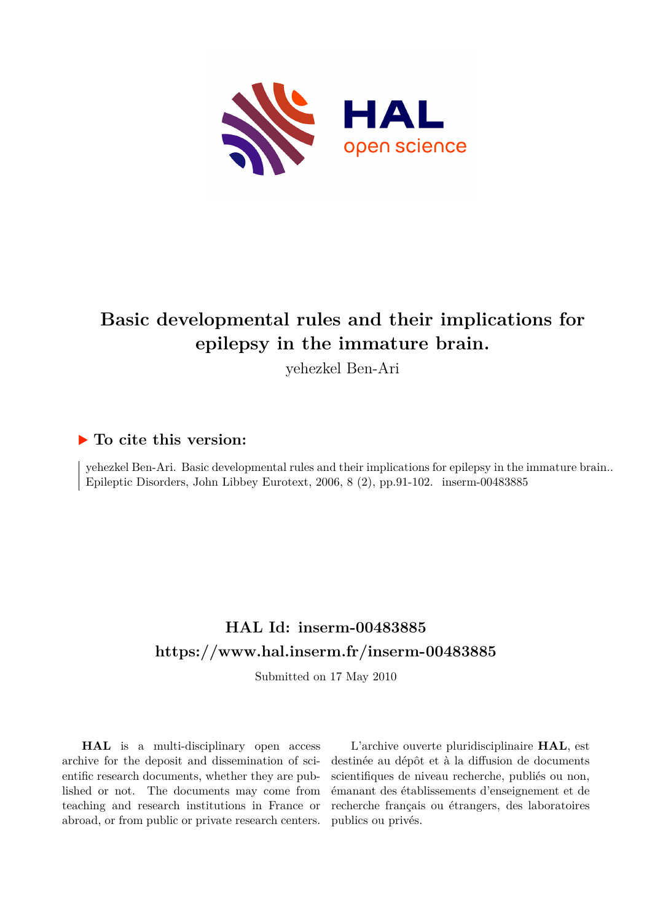

# **Basic developmental rules and their implications for epilepsy in the immature brain.**

yehezkel Ben-Ari

## **To cite this version:**

yehezkel Ben-Ari. Basic developmental rules and their implications for epilepsy in the immature brain.. Epileptic Disorders, John Libbey Eurotext, 2006, 8 (2), pp.91-102. inserm-00483885

# **HAL Id: inserm-00483885 <https://www.hal.inserm.fr/inserm-00483885>**

Submitted on 17 May 2010

**HAL** is a multi-disciplinary open access archive for the deposit and dissemination of scientific research documents, whether they are published or not. The documents may come from teaching and research institutions in France or abroad, or from public or private research centers.

L'archive ouverte pluridisciplinaire **HAL**, est destinée au dépôt et à la diffusion de documents scientifiques de niveau recherche, publiés ou non, émanant des établissements d'enseignement et de recherche français ou étrangers, des laboratoires publics ou privés.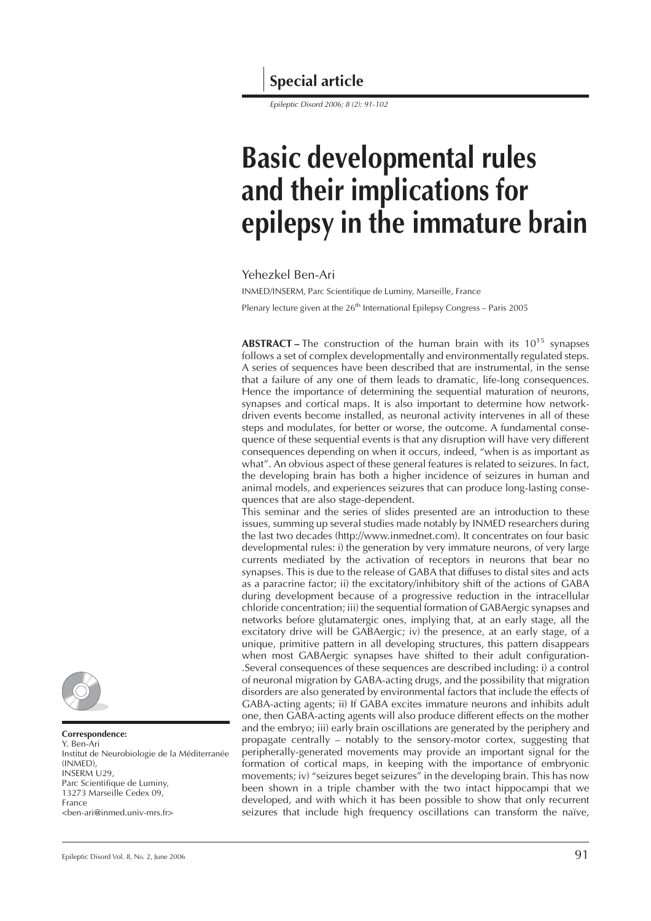## **Special article**

*Epileptic Disord 2006; 8 (2): 91-102*

# **Basic developmental rules and their implications for epilepsy in the immature brain**

#### Yehezkel Ben-Ari

INMED/INSERM, Parc Scientifique de Luminy, Marseille, France Plenary lecture given at the  $26<sup>th</sup>$  International Epilepsy Congress – Paris 2005

**ABSTRACT** – The construction of the human brain with its 10<sup>15</sup> synapses follows a set of complex developmentally and environmentally regulated steps. A series of sequences have been described that are instrumental, in the sense that a failure of any one of them leads to dramatic, life-long consequences. Hence the importance of determining the sequential maturation of neurons, synapses and cortical maps. It is also important to determine how networkdriven events become installed, as neuronal activity intervenes in all of these steps and modulates, for better or worse, the outcome. A fundamental consequence of these sequential events is that any disruption will have very different consequences depending on when it occurs, indeed, "when is as important as what". An obvious aspect of these general features is related to seizures. In fact, the developing brain has both a higher incidence of seizures in human and animal models, and experiences seizures that can produce long-lasting consequences that are also stage-dependent.

This seminar and the series of slides presented are an introduction to these issues, summing up several studies made notably by INMED researchers during the last two decades (http://www.inmednet.com). It concentrates on four basic developmental rules: i) the generation by very immature neurons, of very large currents mediated by the activation of receptors in neurons that bear no synapses. This is due to the release of GABA that diffuses to distal sites and acts as a paracrine factor; ii) the excitatory/inhibitory shift of the actions of GABA during development because of a progressive reduction in the intracellular chloride concentration; iii) the sequential formation of GABAergic synapses and networks before glutamatergic ones, implying that, at an early stage, all the excitatory drive will be GABAergic; iv) the presence, at an early stage, of a unique, primitive pattern in all developing structures, this pattern disappears when most GABAergic synapses have shifted to their adult configuration- .Several consequences of these sequences are described including: i) a control of neuronal migration by GABA-acting drugs, and the possibility that migration disorders are also generated by environmental factors that include the effects of GABA-acting agents; ii) If GABA excites immature neurons and inhibits adult one, then GABA-acting agents will also produce different effects on the mother and the embryo; iii) early brain oscillations are generated by the periphery and propagate centrally – notably to the sensory-motor cortex, suggesting that peripherally-generated movements may provide an important signal for the formation of cortical maps, in keeping with the importance of embryonic movements; iv) "seizures beget seizures" in the developing brain. This has now been shown in a triple chamber with the two intact hippocampi that we developed, and with which it has been possible to show that only recurrent seizures that include high frequency oscillations can transform the naïve,



#### **Correspondence:**

Y. Ben-Ari Institut de Neurobiologie de la Méditerranée (INMED), INSERM U29, Parc Scientifique de Luminy, 13273 Marseille Cedex 09, France  $\epsilon$ ben-ari@inmed.univ-mrs.fr>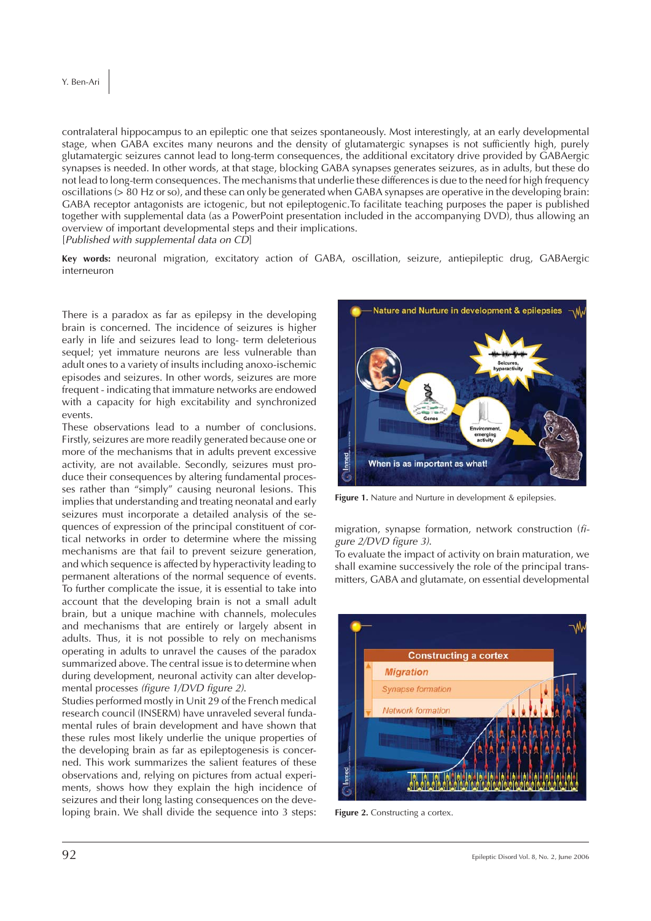contralateral hippocampus to an epileptic one that seizes spontaneously. Most interestingly, at an early developmental stage, when GABA excites many neurons and the density of glutamatergic synapses is not sufficiently high, purely glutamatergic seizures cannot lead to long-term consequences, the additional excitatory drive provided by GABAergic synapses is needed. In other words, at that stage, blocking GABA synapses generates seizures, as in adults, but these do not lead to long-term consequences. The mechanisms that underlie these differences is due to the need for high frequency oscillations (> 80 Hz or so), and these can only be generated when GABA synapses are operative in the developing brain: GABA receptor antagonists are ictogenic, but not epileptogenic.To facilitate teaching purposes the paper is published together with supplemental data (as a PowerPoint presentation included in the accompanying DVD), thus allowing an overview of important developmental steps and their implications.

[*Published with supplemental data on CD*]

**Key words:** neuronal migration, excitatory action of GABA, oscillation, seizure, antiepileptic drug, GABAergic interneuron

There is a paradox as far as epilepsy in the developing brain is concerned. The incidence of seizures is higher early in life and seizures lead to long- term deleterious sequel; yet immature neurons are less vulnerable than adult ones to a variety of insults including anoxo-ischemic episodes and seizures. In other words, seizures are more frequent - indicating that immature networks are endowed with a capacity for high excitability and synchronized events.

These observations lead to a number of conclusions. Firstly, seizures are more readily generated because one or more of the mechanisms that in adults prevent excessive activity, are not available. Secondly, seizures must produce their consequences by altering fundamental processes rather than "simply" causing neuronal lesions. This implies that understanding and treating neonatal and early seizures must incorporate a detailed analysis of the sequences of expression of the principal constituent of cortical networks in order to determine where the missing mechanisms are that fail to prevent seizure generation, and which sequence is affected by hyperactivity leading to permanent alterations of the normal sequence of events. To further complicate the issue, it is essential to take into account that the developing brain is not a small adult brain, but a unique machine with channels, molecules and mechanisms that are entirely or largely absent in adults. Thus, it is not possible to rely on mechanisms operating in adults to unravel the causes of the paradox summarized above. The central issue is to determine when during development, neuronal activity can alter developmental processes *(figure 1/DVD figure 2)*.

Studies performed mostly in Unit 29 of the French medical research council (INSERM) have unraveled several fundamental rules of brain development and have shown that these rules most likely underlie the unique properties of the developing brain as far as epileptogenesis is concerned. This work summarizes the salient features of these observations and, relying on pictures from actual experiments, shows how they explain the high incidence of seizures and their long lasting consequences on the developing brain. We shall divide the sequence into 3 steps:



**Figure 1.** Nature and Nurture in development & epilepsies.

migration, synapse formation, network construction (*figure 2/DVD figure 3)*.

To evaluate the impact of activity on brain maturation, we shall examine successively the role of the principal transmitters, GABA and glutamate, on essential developmental



**Figure 2.** Constructing a cortex.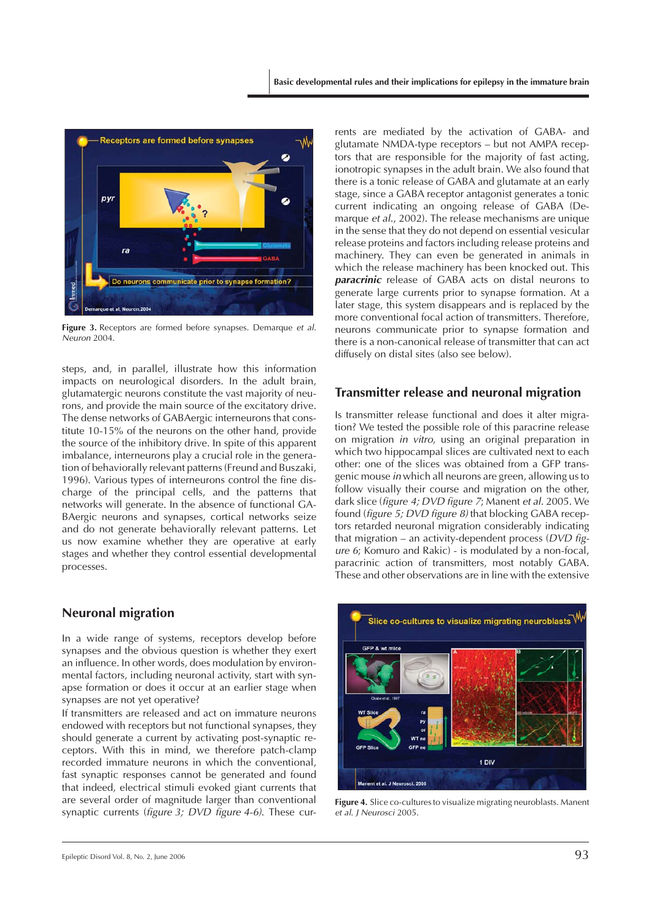

**Figure 3.** Receptors are formed before synapses. Demarque *et al*. *Neuron* 2004.

steps, and, in parallel, illustrate how this information impacts on neurological disorders. In the adult brain, glutamatergic neurons constitute the vast majority of neurons, and provide the main source of the excitatory drive. The dense networks of GABAergic interneurons that constitute 10-15% of the neurons on the other hand, provide the source of the inhibitory drive. In spite of this apparent imbalance, interneurons play a crucial role in the generation of behaviorally relevant patterns (Freund and Buszaki, 1996). Various types of interneurons control the fine discharge of the principal cells, and the patterns that networks will generate. In the absence of functional GA-BAergic neurons and synapses, cortical networks seize and do not generate behaviorally relevant patterns. Let us now examine whether they are operative at early stages and whether they control essential developmental processes.

#### **Neuronal migration**

In a wide range of systems, receptors develop before synapses and the obvious question is whether they exert an influence. In other words, does modulation by environmental factors, including neuronal activity, start with synapse formation or does it occur at an earlier stage when synapses are not yet operative?

If transmitters are released and act on immature neurons endowed with receptors but not functional synapses, they should generate a current by activating post-synaptic receptors. With this in mind, we therefore patch-clamp recorded immature neurons in which the conventional, fast synaptic responses cannot be generated and found that indeed, electrical stimuli evoked giant currents that are several order of magnitude larger than conventional synaptic currents (*figure 3; DVD figure 4-6)*. These currents are mediated by the activation of GABA- and glutamate NMDA-type receptors – but not AMPA receptors that are responsible for the majority of fast acting, ionotropic synapses in the adult brain. We also found that there is a tonic release of GABA and glutamate at an early stage, since a GABA receptor antagonist generates a tonic current indicating an ongoing release of GABA (Demarque *et al.*, 2002). The release mechanisms are unique in the sense that they do not depend on essential vesicular release proteins and factors including release proteins and machinery. They can even be generated in animals in which the release machinery has been knocked out. This *paracrinic* release of GABA acts on distal neurons to generate large currents prior to synapse formation. At a later stage, this system disappears and is replaced by the more conventional focal action of transmitters. Therefore, neurons communicate prior to synapse formation and there is a non-canonical release of transmitter that can act diffusely on distal sites (also see below).

#### **Transmitter release and neuronal migration**

Is transmitter release functional and does it alter migration? We tested the possible role of this paracrine release on migration *in vitro,* using an original preparation in which two hippocampal slices are cultivated next to each other: one of the slices was obtained from a GFP transgenic mouse *in* which all neurons are green, allowing us to follow visually their course and migration on the other, dark slice (*figure 4; DVD figure 7*; Manent *et al.* 2005. We found (*figure 5; DVD figure 8)* that blocking GABA receptors retarded neuronal migration considerably indicating that migration – an activity-dependent process (*DVD figure 6*; Komuro and Rakic) - is modulated by a non-focal, paracrinic action of transmitters, most notably GABA. These and other observations are in line with the extensive



**Figure 4.** Slice co-cultures to visualize migrating neuroblasts. Manent *et al*. *J Neurosci* 2005.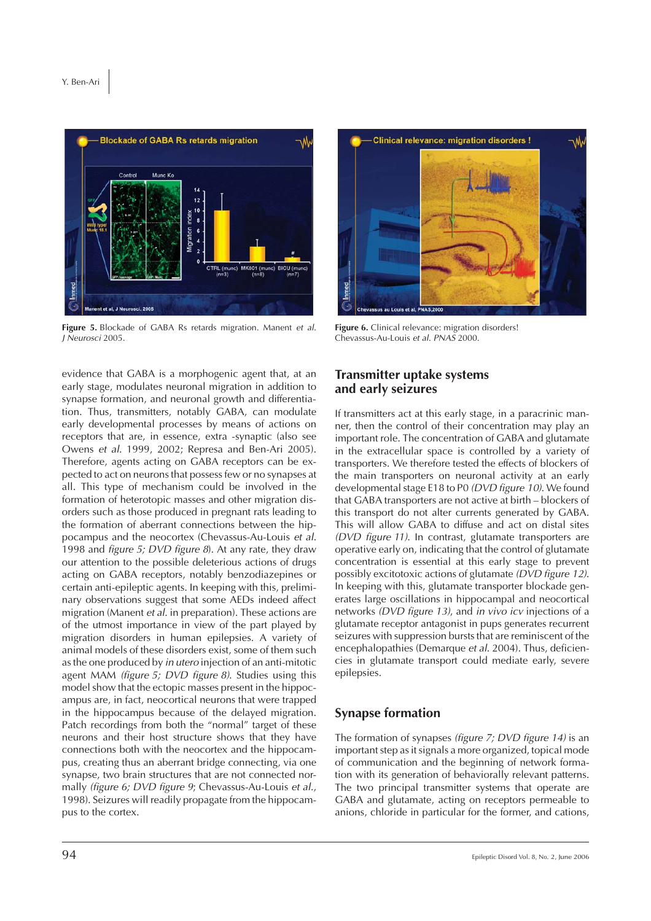

**Figure 5.** Blockade of GABA Rs retards migration. Manent *et al*. *J Neurosci* 2005.

**Clinical relevance: migration disorders!** 

**Figure 6.** Clinical relevance: migration disorders! Chevassus-Au-Louis *et al. PNAS* 2000.

evidence that GABA is a morphogenic agent that, at an early stage, modulates neuronal migration in addition to synapse formation, and neuronal growth and differentiation. Thus, transmitters, notably GABA, can modulate early developmental processes by means of actions on receptors that are, in essence, extra -synaptic (also see Owens *et al.* 1999, 2002; Represa and Ben-Ari 2005). Therefore, agents acting on GABA receptors can be expected to act on neurons that possess few or no synapses at all. This type of mechanism could be involved in the formation of heterotopic masses and other migration disorders such as those produced in pregnant rats leading to the formation of aberrant connections between the hippocampus and the neocortex (Chevassus-Au-Louis *et al.* 1998 and *figure 5; DVD figure 8*). At any rate, they draw our attention to the possible deleterious actions of drugs acting on GABA receptors, notably benzodiazepines or certain anti-epileptic agents. In keeping with this, preliminary observations suggest that some AEDs indeed affect migration (Manent *et al.* in preparation). These actions are of the utmost importance in view of the part played by migration disorders in human epilepsies. A variety of animal models of these disorders exist, some of them such as the one produced by *in utero* injection of an anti-mitotic agent MAM *(figure 5; DVD figure 8)*. Studies using this model show that the ectopic masses present in the hippocampus are, in fact, neocortical neurons that were trapped in the hippocampus because of the delayed migration. Patch recordings from both the "normal" target of these neurons and their host structure shows that they have connections both with the neocortex and the hippocampus, creating thus an aberrant bridge connecting, via one synapse, two brain structures that are not connected normally *(figure 6; DVD figure 9*; Chevassus-Au-Louis *et al.*, 1998). Seizures will readily propagate from the hippocampus to the cortex.

#### **Transmitter uptake systems and early seizures**

If transmitters act at this early stage, in a paracrinic manner, then the control of their concentration may play an important role. The concentration of GABA and glutamate in the extracellular space is controlled by a variety of transporters. We therefore tested the effects of blockers of the main transporters on neuronal activity at an early developmental stage E18 to P0 *(DVD figure 10)*. We found that GABA transporters are not active at birth – blockers of this transport do not alter currents generated by GABA. This will allow GABA to diffuse and act on distal sites *(DVD figure 11)*. In contrast, glutamate transporters are operative early on, indicating that the control of glutamate concentration is essential at this early stage to prevent possibly excitotoxic actions of glutamate *(DVD figure 12)*. In keeping with this, glutamate transporter blockade generates large oscillations in hippocampal and neocortical networks *(DVD figure 13)*, and *in vivo icv* injections of a glutamate receptor antagonist in pups generates recurrent seizures with suppression bursts that are reminiscent of the encephalopathies (Demarque *et al.* 2004). Thus, deficiencies in glutamate transport could mediate early, severe epilepsies.

### **Synapse formation**

The formation of synapses *(figure 7; DVD figure 14)* is an important step as it signals a more organized, topical mode of communication and the beginning of network formation with its generation of behaviorally relevant patterns. The two principal transmitter systems that operate are GABA and glutamate, acting on receptors permeable to anions, chloride in particular for the former, and cations,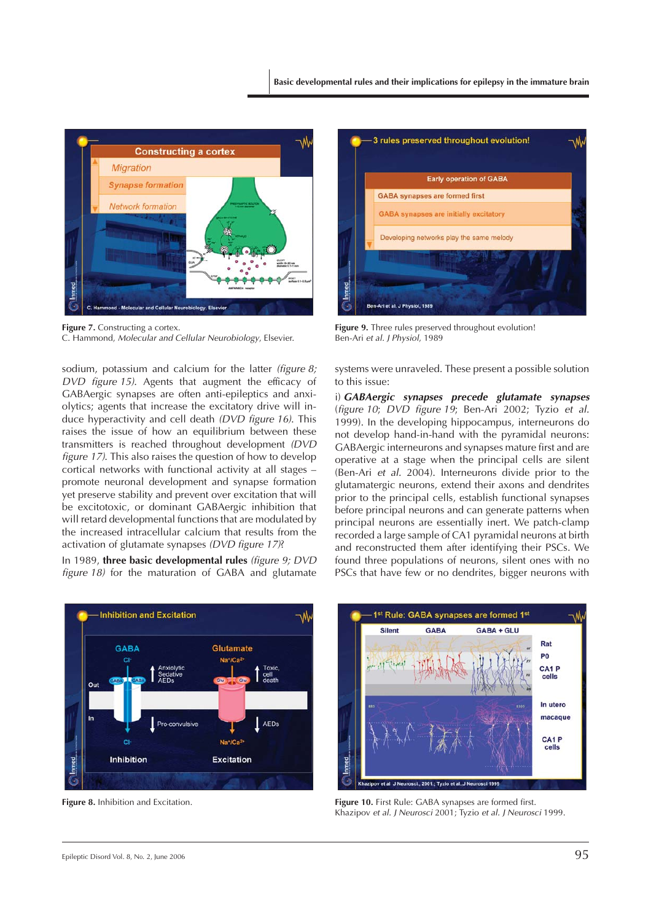

**Figure 7.** Constructing a cortex. C. Hammond, *Molecular and Cellular Neurobiology*, Elsevier.

sodium, potassium and calcium for the latter *(figure 8; DVD figure 15)*. Agents that augment the efficacy of GABAergic synapses are often anti-epileptics and anxiolytics; agents that increase the excitatory drive will induce hyperactivity and cell death *(DVD figure 16)*. This raises the issue of how an equilibrium between these transmitters is reached throughout development *(DVD figure 17)*. This also raises the question of how to develop cortical networks with functional activity at all stages – promote neuronal development and synapse formation yet preserve stability and prevent over excitation that will be excitotoxic, or dominant GABAergic inhibition that will retard developmental functions that are modulated by the increased intracellular calcium that results from the activation of glutamate synapses *(DVD figure 17)*?

In 1989, **three basic developmental rules** *(figure 9; DVD figure 18)* for the maturation of GABA and glutamate



**Figure 8.** Inhibition and Excitation.



Figure 9. Three rules preserved throughout evolution! Ben-Ari *et al. J Physiol*, 1989

systems were unraveled. These present a possible solution to this issue:

i) *GABAergic synapses precede glutamate synapses* (*figure 10*; *DVD figure 19*; Ben-Ari 2002; Tyzio *et al.* 1999). In the developing hippocampus, interneurons do not develop hand-in-hand with the pyramidal neurons: GABAergic interneurons and synapses mature first and are operative at a stage when the principal cells are silent (Ben-Ari *et al.* 2004). Interneurons divide prior to the glutamatergic neurons, extend their axons and dendrites prior to the principal cells, establish functional synapses before principal neurons and can generate patterns when principal neurons are essentially inert. We patch-clamp recorded a large sample of CA1 pyramidal neurons at birth and reconstructed them after identifying their PSCs. We found three populations of neurons, silent ones with no PSCs that have few or no dendrites, bigger neurons with



**Figure 10.** First Rule: GABA synapses are formed first. Khazipov *et al. J Neurosci* 2001; Tyzio *et al. J Neurosci* 1999.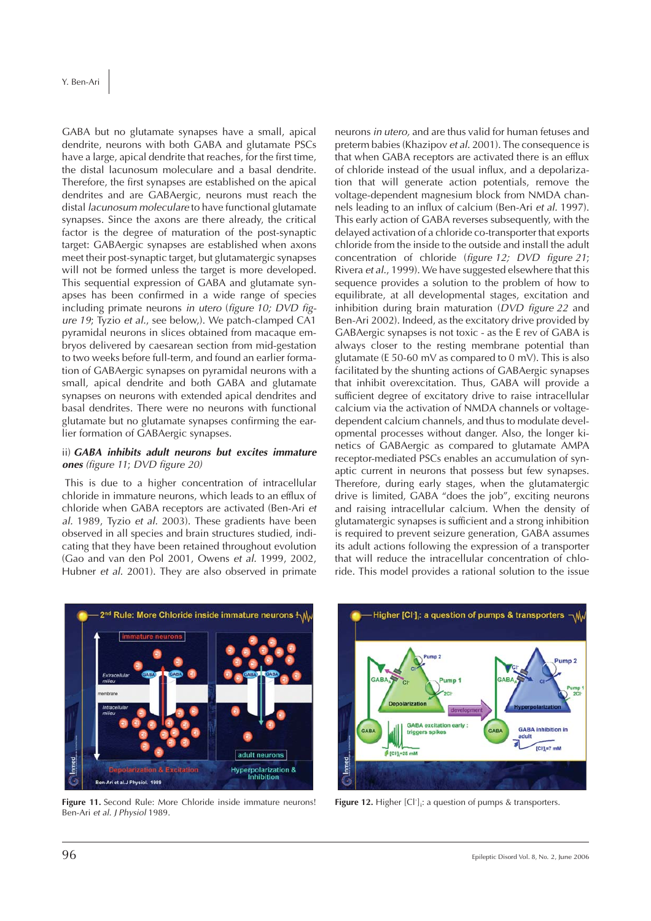GABA but no glutamate synapses have a small, apical dendrite, neurons with both GABA and glutamate PSCs have a large, apical dendrite that reaches, for the first time, the distal lacunosum moleculare and a basal dendrite. Therefore, the first synapses are established on the apical dendrites and are GABAergic, neurons must reach the distal *lacunosum moleculare* to have functional glutamate synapses. Since the axons are there already, the critical factor is the degree of maturation of the post-synaptic target: GABAergic synapses are established when axons meet their post-synaptic target, but glutamatergic synapses will not be formed unless the target is more developed. This sequential expression of GABA and glutamate synapses has been confirmed in a wide range of species including primate neurons *in utero* (*figure 10; DVD figure 19*; Tyzio *et al.*, see below,). We patch-clamped CA1 pyramidal neurons in slices obtained from macaque embryos delivered by caesarean section from mid-gestation to two weeks before full-term, and found an earlier formation of GABAergic synapses on pyramidal neurons with a small, apical dendrite and both GABA and glutamate synapses on neurons with extended apical dendrites and basal dendrites. There were no neurons with functional glutamate but no glutamate synapses confirming the earlier formation of GABAergic synapses.

#### ii) *GABA inhibits adult neurons but excites immature ones (figure 11*; *DVD figure 20)*

This is due to a higher concentration of intracellular chloride in immature neurons, which leads to an efflux of chloride when GABA receptors are activated (Ben-Ari *et al.* 1989, Tyzio *et al.* 2003). These gradients have been observed in all species and brain structures studied, indicating that they have been retained throughout evolution (Gao and van den Pol 2001, Owens *et al.* 1999, 2002, Hubner *et al.* 2001). They are also observed in primate

neurons *in utero,* and are thus valid for human fetuses and preterm babies (Khazipov *et al.* 2001). The consequence is that when GABA receptors are activated there is an efflux of chloride instead of the usual influx, and a depolarization that will generate action potentials, remove the voltage-dependent magnesium block from NMDA channels leading to an influx of calcium (Ben-Ari *et al.* 1997). This early action of GABA reverses subsequently, with the delayed activation of a chloride co-transporter that exports chloride from the inside to the outside and install the adult concentration of chloride (*figure 12; DVD figure 21*; Rivera *et al.*, 1999). We have suggested elsewhere that this sequence provides a solution to the problem of how to equilibrate, at all developmental stages, excitation and inhibition during brain maturation (*DVD figure 22* and Ben-Ari 2002). Indeed, as the excitatory drive provided by GABAergic synapses is not toxic - as the E rev of GABA is always closer to the resting membrane potential than glutamate (E 50-60 mV as compared to 0 mV). This is also facilitated by the shunting actions of GABAergic synapses that inhibit overexcitation. Thus, GABA will provide a sufficient degree of excitatory drive to raise intracellular calcium via the activation of NMDA channels or voltagedependent calcium channels, and thus to modulate developmental processes without danger. Also, the longer kinetics of GABAergic as compared to glutamate AMPA receptor-mediated PSCs enables an accumulation of synaptic current in neurons that possess but few synapses. Therefore, during early stages, when the glutamatergic drive is limited, GABA "does the job", exciting neurons and raising intracellular calcium. When the density of glutamatergic synapses is sufficient and a strong inhibition is required to prevent seizure generation, GABA assumes its adult actions following the expression of a transporter that will reduce the intracellular concentration of chloride. This model provides a rational solution to the issue



Figure 11. Second Rule: More Chloride inside immature neurons! Ben-Ari *et al. J Physiol* 1989.



**Figure 12.** Higher [Cl<sup>-</sup>]<sub>i</sub>: a question of pumps & transporters.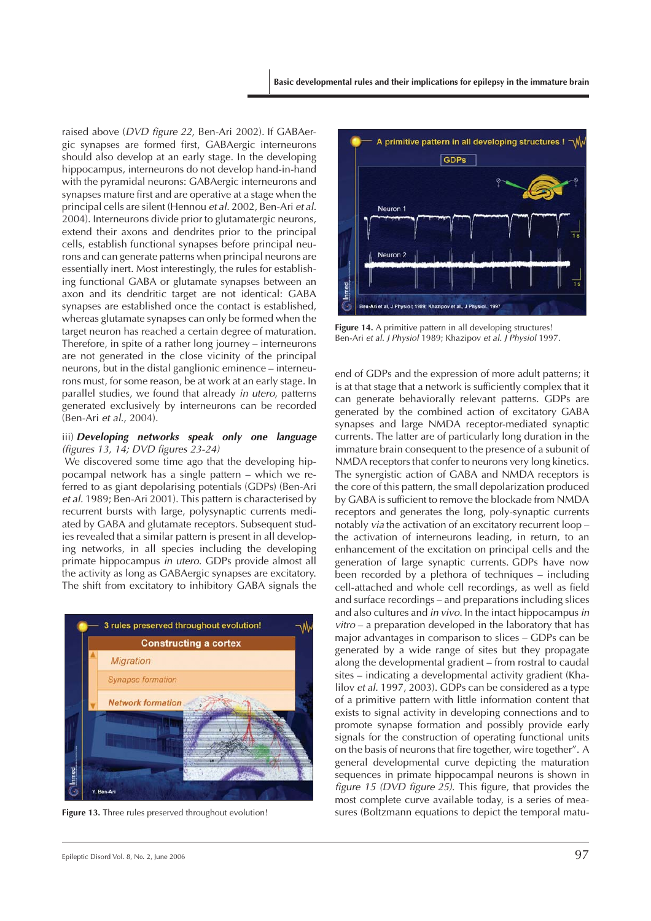raised above (*DVD figure 22*, Ben-Ari 2002). If GABAergic synapses are formed first, GABAergic interneurons should also develop at an early stage. In the developing hippocampus, interneurons do not develop hand-in-hand with the pyramidal neurons: GABAergic interneurons and synapses mature first and are operative at a stage when the principal cells are silent (Hennou *et al.* 2002, Ben-Ari *et al.* 2004). Interneurons divide prior to glutamatergic neurons, extend their axons and dendrites prior to the principal cells, establish functional synapses before principal neurons and can generate patterns when principal neurons are essentially inert. Most interestingly, the rules for establishing functional GABA or glutamate synapses between an axon and its dendritic target are not identical: GABA synapses are established once the contact is established, whereas glutamate synapses can only be formed when the target neuron has reached a certain degree of maturation. Therefore, in spite of a rather long journey – interneurons are not generated in the close vicinity of the principal neurons, but in the distal ganglionic eminence – interneurons must, for some reason, be at work at an early stage. In parallel studies, we found that already *in utero*, patterns generated exclusively by interneurons can be recorded (Ben-Ari *et al.*, 2004).

#### iii) *Developing networks speak only one language (figures 13, 14; DVD figures 23-24)*

We discovered some time ago that the developing hippocampal network has a single pattern – which we referred to as giant depolarising potentials (GDPs) (Ben-Ari *et al.* 1989; Ben-Ari 2001). This pattern is characterised by recurrent bursts with large, polysynaptic currents mediated by GABA and glutamate receptors. Subsequent studies revealed that a similar pattern is present in all developing networks, in all species including the developing primate hippocampus *in utero*. GDPs provide almost all the activity as long as GABAergic synapses are excitatory. The shift from excitatory to inhibitory GABA signals the





Figure 14. A primitive pattern in all developing structures! Ben-Ari *et al*. *J Physiol* 1989; Khazipov *et al. J Physiol* 1997.

end of GDPs and the expression of more adult patterns; it is at that stage that a network is sufficiently complex that it can generate behaviorally relevant patterns. GDPs are generated by the combined action of excitatory GABA synapses and large NMDA receptor-mediated synaptic currents. The latter are of particularly long duration in the immature brain consequent to the presence of a subunit of NMDA receptors that confer to neurons very long kinetics. The synergistic action of GABA and NMDA receptors is the core of this pattern, the small depolarization produced by GABA is sufficient to remove the blockade from NMDA receptors and generates the long, poly-synaptic currents notably *via* the activation of an excitatory recurrent loop – the activation of interneurons leading, in return, to an enhancement of the excitation on principal cells and the generation of large synaptic currents. GDPs have now been recorded by a plethora of techniques – including cell-attached and whole cell recordings, as well as field and surface recordings – and preparations including slices and also cultures and *in vivo*. In the intact hippocampus *in vitro* – a preparation developed in the laboratory that has major advantages in comparison to slices – GDPs can be generated by a wide range of sites but they propagate along the developmental gradient – from rostral to caudal sites – indicating a developmental activity gradient (Khalilov *et al.* 1997, 2003). GDPs can be considered as a type of a primitive pattern with little information content that exists to signal activity in developing connections and to promote synapse formation and possibly provide early signals for the construction of operating functional units on the basis of neurons that fire together, wire together". A general developmental curve depicting the maturation sequences in primate hippocampal neurons is shown in *figure 15 (DVD figure 25)*. This figure, that provides the most complete curve available today, is a series of mea-**Figure 13.** Three rules preserved throughout evolution! sures (Boltzmann equations to depict the temporal matu-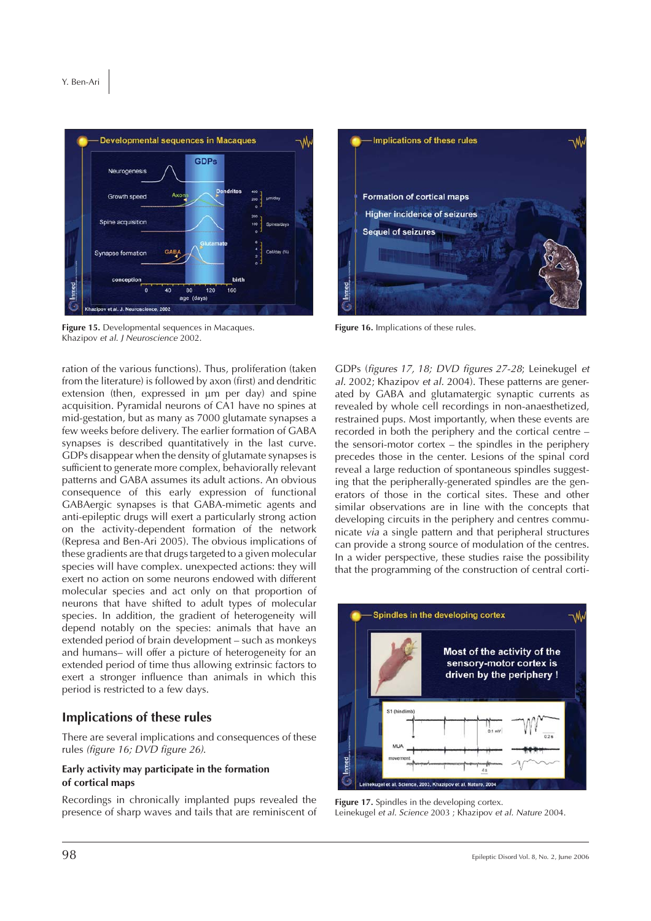



ration of the various functions). Thus, proliferation (taken from the literature) is followed by axon (first) and dendritic extension (then, expressed in  $\mu$ m per day) and spine acquisition. Pyramidal neurons of CA1 have no spines at mid-gestation, but as many as 7000 glutamate synapses a few weeks before delivery. The earlier formation of GABA synapses is described quantitatively in the last curve. GDPs disappear when the density of glutamate synapses is sufficient to generate more complex, behaviorally relevant patterns and GABA assumes its adult actions. An obvious consequence of this early expression of functional GABAergic synapses is that GABA-mimetic agents and anti-epileptic drugs will exert a particularly strong action on the activity-dependent formation of the network (Represa and Ben-Ari 2005). The obvious implications of these gradients are that drugs targeted to a given molecular species will have complex. unexpected actions: they will exert no action on some neurons endowed with different molecular species and act only on that proportion of neurons that have shifted to adult types of molecular species. In addition, the gradient of heterogeneity will depend notably on the species: animals that have an extended period of brain development – such as monkeys and humans– will offer a picture of heterogeneity for an extended period of time thus allowing extrinsic factors to exert a stronger influence than animals in which this period is restricted to a few days.

#### **Implications of these rules**

There are several implications and consequences of these rules *(figure 16; DVD figure 26)*.

#### **Early activity may participate in the formation of cortical maps**

Recordings in chronically implanted pups revealed the presence of sharp waves and tails that are reminiscent of



Figure 16. Implications of these rules.

GDPs (*figures 17, 18; DVD figures 27-28*; Leinekugel *et al.* 2002; Khazipov *et al.* 2004). These patterns are generated by GABA and glutamatergic synaptic currents as revealed by whole cell recordings in non-anaesthetized, restrained pups. Most importantly, when these events are recorded in both the periphery and the cortical centre – the sensori-motor cortex – the spindles in the periphery precedes those in the center. Lesions of the spinal cord reveal a large reduction of spontaneous spindles suggesting that the peripherally-generated spindles are the generators of those in the cortical sites. These and other similar observations are in line with the concepts that developing circuits in the periphery and centres communicate *via* a single pattern and that peripheral structures can provide a strong source of modulation of the centres. In a wider perspective, these studies raise the possibility that the programming of the construction of central corti-



Figure 17. Spindles in the developing cortex. Leinekugel *et al. Science* 2003 ; Khazipov *et al. Nature* 2004.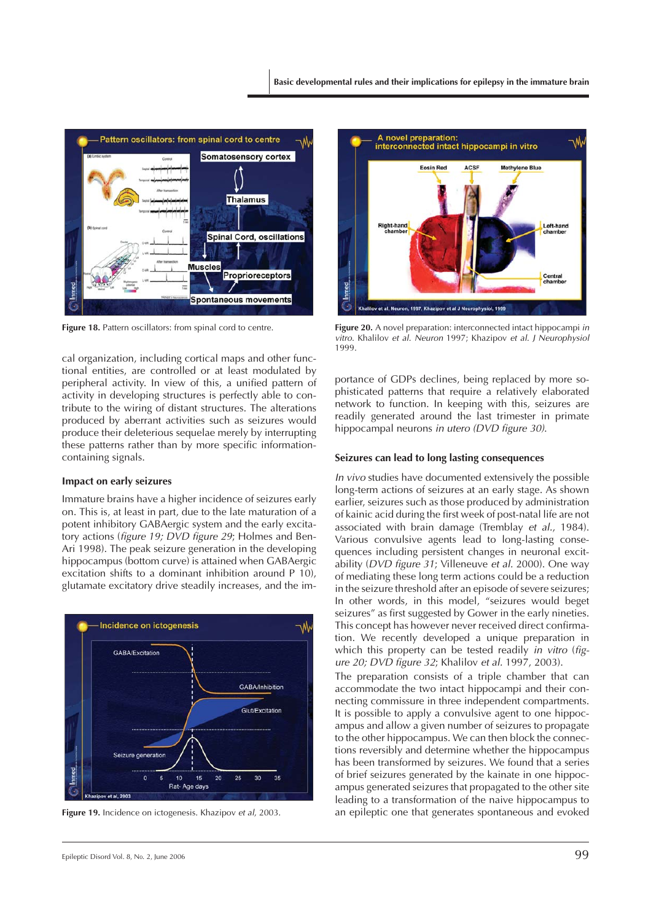

Figure 18. Pattern oscillators: from spinal cord to centre.

cal organization, including cortical maps and other functional entities, are controlled or at least modulated by peripheral activity. In view of this, a unified pattern of activity in developing structures is perfectly able to contribute to the wiring of distant structures. The alterations produced by aberrant activities such as seizures would produce their deleterious sequelae merely by interrupting these patterns rather than by more specific informationcontaining signals.

#### **Impact on early seizures**

Immature brains have a higher incidence of seizures early on. This is, at least in part, due to the late maturation of a potent inhibitory GABAergic system and the early excitatory actions (*figure 19; DVD figure 29*; Holmes and Ben-Ari 1998). The peak seizure generation in the developing hippocampus (bottom curve) is attained when GABAergic excitation shifts to a dominant inhibition around P 10), glutamate excitatory drive steadily increases, and the im-



**Figure 19.** Incidence on ictogenesis. Khazipov *et al*, 2003.



**Figure 20.** A novel preparation: interconnected intact hippocampi *in vitro*. Khalilov *et al. Neuron* 1997; Khazipov *et al. J Neurophysiol* 1999.

portance of GDPs declines, being replaced by more sophisticated patterns that require a relatively elaborated network to function. In keeping with this, seizures are readily generated around the last trimester in primate hippocampal neurons *in utero (DVD figure 30)*.

#### **Seizures can lead to long lasting consequences**

*In vivo* studies have documented extensively the possible long-term actions of seizures at an early stage. As shown earlier, seizures such as those produced by administration of kainic acid during the first week of post-natal life are not associated with brain damage (Tremblay *et al.*, 1984). Various convulsive agents lead to long-lasting consequences including persistent changes in neuronal excitability (*DVD figure 31*; Villeneuve *et al.* 2000). One way of mediating these long term actions could be a reduction in the seizure threshold after an episode of severe seizures; In other words, in this model, "seizures would beget seizures" as first suggested by Gower in the early nineties. This concept has however never received direct confirmation. We recently developed a unique preparation in which this property can be tested readily *in vitro* (*figure 20; DVD figure 32*; Khalilov *et al.* 1997, 2003).

The preparation consists of a triple chamber that can accommodate the two intact hippocampi and their connecting commissure in three independent compartments. It is possible to apply a convulsive agent to one hippocampus and allow a given number of seizures to propagate to the other hippocampus. We can then block the connections reversibly and determine whether the hippocampus has been transformed by seizures. We found that a series of brief seizures generated by the kainate in one hippocampus generated seizures that propagated to the other site leading to a transformation of the naive hippocampus to an epileptic one that generates spontaneous and evoked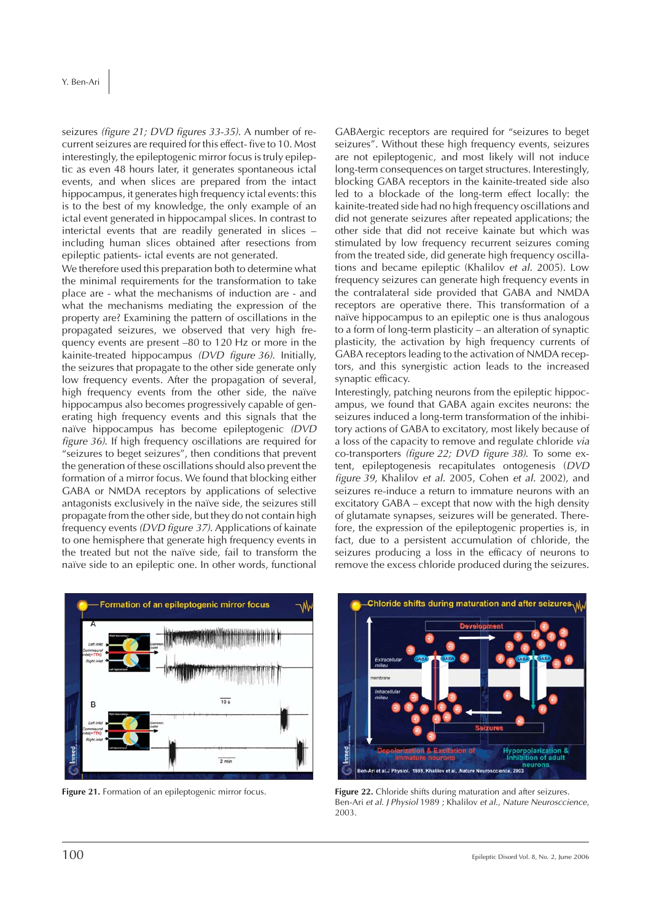seizures *(figure 21; DVD figures 33-35)*. A number of recurrent seizures are required for this effect- five to 10. Most interestingly, the epileptogenic mirror focus is truly epileptic as even 48 hours later, it generates spontaneous ictal events, and when slices are prepared from the intact hippocampus, it generates high frequency ictal events: this is to the best of my knowledge, the only example of an ictal event generated in hippocampal slices. In contrast to interictal events that are readily generated in slices – including human slices obtained after resections from epileptic patients- ictal events are not generated.

We therefore used this preparation both to determine what the minimal requirements for the transformation to take place are - what the mechanisms of induction are - and what the mechanisms mediating the expression of the property are? Examining the pattern of oscillations in the propagated seizures, we observed that very high frequency events are present –80 to 120 Hz or more in the kainite-treated hippocampus *(DVD figure 36)*. Initially, the seizures that propagate to the other side generate only low frequency events. After the propagation of several, high frequency events from the other side, the naïve hippocampus also becomes progressively capable of generating high frequency events and this signals that the naïve hippocampus has become epileptogenic *(DVD figure 36)*. If high frequency oscillations are required for "seizures to beget seizures", then conditions that prevent the generation of these oscillations should also prevent the formation of a mirror focus. We found that blocking either GABA or NMDA receptors by applications of selective antagonists exclusively in the naïve side, the seizures still propagate from the other side, but they do not contain high frequency events *(DVD figure 37)*. Applications of kainate to one hemisphere that generate high frequency events in the treated but not the naïve side, fail to transform the naïve side to an epileptic one. In other words, functional

GABAergic receptors are required for "seizures to beget seizures". Without these high frequency events, seizures are not epileptogenic, and most likely will not induce long-term consequences on target structures. Interestingly, blocking GABA receptors in the kainite-treated side also led to a blockade of the long-term effect locally: the kainite-treated side had no high frequency oscillations and did not generate seizures after repeated applications; the other side that did not receive kainate but which was stimulated by low frequency recurrent seizures coming from the treated side, did generate high frequency oscillations and became epileptic (Khalilov *et al.* 2005). Low frequency seizures can generate high frequency events in the contralateral side provided that GABA and NMDA receptors are operative there. This transformation of a naïve hippocampus to an epileptic one is thus analogous to a form of long-term plasticity – an alteration of synaptic plasticity, the activation by high frequency currents of GABA receptors leading to the activation of NMDA receptors, and this synergistic action leads to the increased synaptic efficacy.

Interestingly, patching neurons from the epileptic hippocampus, we found that GABA again excites neurons: the seizures induced a long-term transformation of the inhibitory actions of GABA to excitatory, most likely because of a loss of the capacity to remove and regulate chloride *via* co-transporters *(figure 22; DVD figure 38)*. To some extent, epileptogenesis recapitulates ontogenesis (*DVD figure 39*, Khalilov *et al.* 2005, Cohen *et al.* 2002), and seizures re-induce a return to immature neurons with an excitatory GABA – except that now with the high density of glutamate synapses, seizures will be generated. Therefore, the expression of the epileptogenic properties is, in fact, due to a persistent accumulation of chloride, the seizures producing a loss in the efficacy of neurons to remove the excess chloride produced during the seizures.





**Figure 21.** Formation of an epileptogenic mirror focus. **Figure 22.** Chloride shifts during maturation and after seizures. Ben-Ari *et al. J Physiol* 1989 ; Khalilov *et al.*, *Nature Neurosccience*, 2003.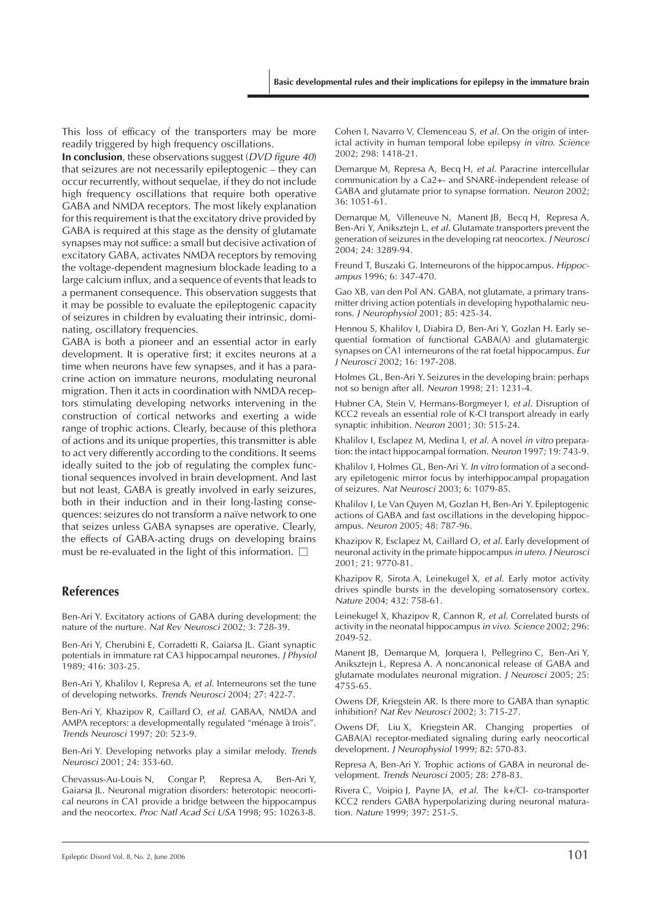This loss of efficacy of the transporters may be more readily triggered by high frequency oscillations.

**In conclusion**, these observations suggest (*DVD figure 40*) that seizures are not necessarily epileptogenic – they can occur recurrently, without sequelae, if they do not include high frequency oscillations that require both operative GABA and NMDA receptors. The most likely explanation for this requirement is that the excitatory drive provided by GABA is required at this stage as the density of glutamate synapses may not suffice: a small but decisive activation of excitatory GABA, activates NMDA receptors by removing the voltage-dependent magnesium blockade leading to a large calcium influx, and a sequence of events that leads to a permanent consequence. This observation suggests that it may be possible to evaluate the epileptogenic capacity of seizures in children by evaluating their intrinsic, dominating, oscillatory frequencies.

GABA is both a pioneer and an essential actor in early development. It is operative first; it excites neurons at a time when neurons have few synapses, and it has a paracrine action on immature neurons, modulating neuronal migration. Then it acts in coordination with NMDA receptors stimulating developing networks intervening in the construction of cortical networks and exerting a wide range of trophic actions. Clearly, because of this plethora of actions and its unique properties, this transmitter is able to act very differently according to the conditions. It seems ideally suited to the job of regulating the complex functional sequences involved in brain development. And last but not least, GABA is greatly involved in early seizures, both in their induction and in their long-lasting consequences: seizures do not transform a naïve network to one that seizes unless GABA synapses are operative. Clearly, the effects of GABA-acting drugs on developing brains must be re-evaluated in the light of this information.  $\Box$ 

#### **References**

Ben-Ari Y. Excitatory actions of GABA during development: the nature of the nurture. *Nat Rev Neurosci* 2002; 3: 728-39.

Ben-Ari Y, Cherubini E, Corradetti R, Gaiarsa JL. Giant synaptic potentials in immature rat CA3 hippocampal neurones. *J Physiol* 1989; 416: 303-25.

Ben-Ari Y, Khalilov I, Represa A, *et al.* Interneurons set the tune of developing networks. *Trends Neurosci* 2004; 27: 422-7.

Ben-Ari Y, Khazipov R, Caillard O, *et al.* GABAA, NMDA and AMPA receptors: a developmentally regulated "ménage à trois". *Trends Neurosci* 1997; 20: 523-9.

Ben-Ari Y. Developing networks play a similar melody. *Trends Neurosci* 2001; 24: 353-60.

Chevassus-Au-Louis N, Congar P, Represa A, Ben-Ari Y, Gaiarsa JL. Neuronal migration disorders: heterotopic neocortical neurons in CA1 provide a bridge between the hippocampus and the neocortex. *Proc Natl Acad Sci USA* 1998; 95: 10263-8. Cohen I, Navarro V, Clemenceau S, *et al.* On the origin of interictal activity in human temporal lobe epilepsy *in vitro*. *Science* 2002; 298: 1418-21.

Demarque M, Represa A, Becq H, *et al.* Paracrine intercellular communication by a Ca2+- and SNARE-independent release of GABA and glutamate prior to synapse formation. *Neuron* 2002; 36: 1051-61.

Demarque M, Villeneuve N, Manent JB, Becq H, Represa A, Ben-Ari Y, Aniksztejn L, *et al.* Glutamate transporters prevent the generation of seizures in the developing rat neocortex. *J Neurosci* 2004; 24: 3289-94.

Freund T, Buszaki G. Interneurons of the hippocampus. *Hippocampus* 1996; 6: 347-470.

Gao XB, van den Pol AN. GABA, not glutamate, a primary transmitter driving action potentials in developing hypothalamic neurons. *J Neurophysiol* 2001; 85: 425-34.

Hennou S, Khalilov I, Diabira D, Ben-Ari Y, Gozlan H. Early sequential formation of functional GABA(A) and glutamatergic synapses on CA1 interneurons of the rat foetal hippocampus. *Eur J Neurosci* 2002; 16: 197-208.

Holmes GL, Ben-Ari Y. Seizures in the developing brain: perhaps not so benign after all. *Neuron* 1998; 21: 1231-4.

Hubner CA, Stein V, Hermans-Borgmeyer I, *et al.* Disruption of KCC2 reveals an essential role of K-CI transport already in early synaptic inhibition. *Neuron* 2001; 30: 515-24.

Khalilov I, Esclapez M, Medina I, *et al.* A novel *in vitro* preparation: the intact hippocampal formation. *Neuron* 1997; 19: 743-9.

Khalilov I, Holmes GL, Ben-Ari Y. *In vitro* formation of a secondary epiletogenic mirror focus by interhippocampal propagation of seizures. *Nat Neurosci* 2003; 6: 1079-85.

Khalilov I, Le Van Quyen M, Gozlan H, Ben-Ari Y. Epileptogenic actions of GABA and fast oscillations in the developing hippocampus. *Neuron* 2005; 48: 787-96.

Khazipov R, Esclapez M, Caillard O, *et al.* Early development of neuronal activity in the primate hippocampus*in utero*. *J Neurosci* 2001; 21: 9770-81.

Khazipov R, Sirota A, Leinekugel X, *et al.* Early motor activity drives spindle bursts in the developing somatosensory cortex. *Nature* 2004; 432: 758-61.

Leinekugel X, Khazipov R, Cannon R, *et al.* Correlated bursts of activity in the neonatal hippocampus *in vivo*. *Science* 2002; 296: 2049-52.

Manent JB, Demarque M, Jorquera I, Pellegrino C, Ben-Ari Y, Aniksztejn L, Represa A. A noncanonical release of GABA and glutamate modulates neuronal migration. *J Neurosci* 2005; 25: 4755-65.

Owens DF, Kriegstein AR. Is there more to GABA than synaptic inhibition? *Nat Rev Neurosci* 2002; 3: 715-27.

Owens DF, Liu X, Kriegstein AR. Changing properties of GABA(A) receptor-mediated signaling during early neocortical development. *J Neurophysiol* 1999; 82: 570-83.

Represa A, Ben-Ari Y. Trophic actions of GABA in neuronal development. *Trends Neurosci* 2005; 28: 278-83.

Rivera C, Voipio J, Payne JA, *et al.* The k+/Cl- co-transporter KCC2 renders GABA hyperpolarizing during neuronal maturation. *Nature* 1999; 397: 251-5.

Epileptic Disord Vol. 8, No. 2, June 2006  $101$